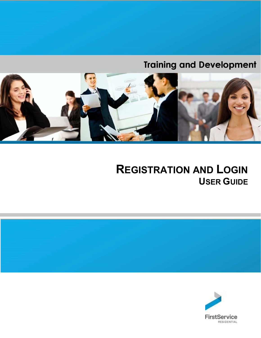# **Training and Development**



# **REGISTRATION AND LOGIN USER GUIDE**



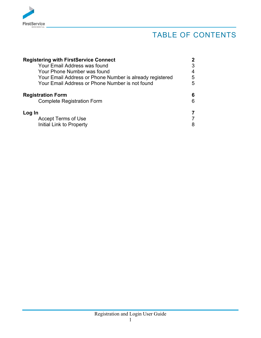

## TABLE OF CONTENTS

| <b>Registering with FirstService Connect</b>             |   |
|----------------------------------------------------------|---|
| Your Email Address was found                             |   |
| Your Phone Number was found                              | 4 |
| Your Email Address or Phone Number is already registered | 5 |
| Your Email Address or Phone Number is not found          | 5 |
| <b>Registration Form</b>                                 | 6 |
| <b>Complete Registration Form</b>                        | 6 |
| Log In                                                   |   |
| <b>Accept Terms of Use</b>                               |   |
| Initial Link to Property                                 | 8 |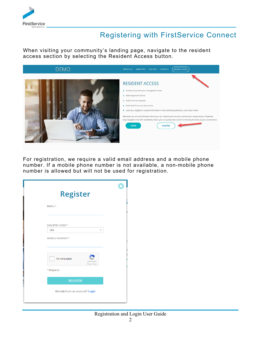

### Registering with FirstService Connect

When visiting your community's landing page, navigate to the resident access section by selecting the Resident Access button.



For registration, we require a valid email address and a mobile phone number. If a mobile phone number is not available, a non-mobile phone number is allowed but will not be used for registration.

|                        | <b>Register</b>                                 |   |
|------------------------|-------------------------------------------------|---|
| <b>EMAIL*</b>          |                                                 |   |
|                        |                                                 |   |
| <b>COUNTRY CODE *</b>  |                                                 |   |
| <b>USA</b>             |                                                 | ٠ |
| <b>MOBILE NUMBER *</b> |                                                 |   |
|                        | I'm not a robot<br>reCAPTCHA<br>Privacy - Terms | S |
| * Required             |                                                 |   |
|                        | <b>REGISTER</b>                                 |   |
|                        | Already have an account? Login                  |   |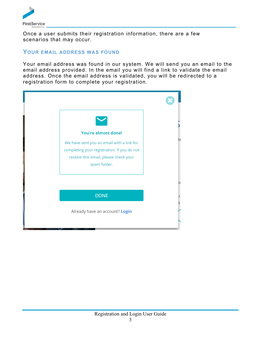

Once a user submits their registration information, there are a few scenarios that may occur.

#### **YOUR EMAIL ADDRESS WAS FOUND**

Your email address was found in our system. We will send you an email to the email address provided. In the email you will find a link to validate the email address. Once the email address is validated, you will be redirected to a registration form to complete your registration.

| <b>You're almost done!</b><br>We have sent you an email with a link for<br>completing your registration. If you do not<br>receive this email, please check your<br>spam folder. | t€ |
|---------------------------------------------------------------------------------------------------------------------------------------------------------------------------------|----|
|                                                                                                                                                                                 |    |
| <b>DONE</b>                                                                                                                                                                     |    |
| Already have an account? Login                                                                                                                                                  |    |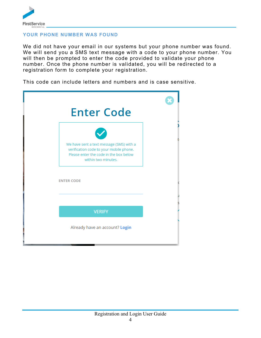

#### **YOUR PHONE NUMBER WAS FOUND**

We did not have your email in our systems but your phone number was found. We will send you a SMS text message with a code to your phone number. You will then be prompted to enter the code provided to validate your phone number. Once the phone number is validated, you will be redirected to a registration form to complete your registration.

This code can include letters and numbers and is case sensitive.

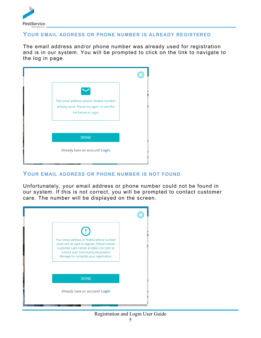

#### **YOUR EMAIL ADDRESS OR PHONE NUMBER IS ALREADY REGISTERED**

The email address and/or phone number was already used for registration and is in our system. You will be prompted to click on the link to navigate to the log in page.



#### **YOUR EMAIL ADDRESS OR PHONE NUMBER IS NOT FOUND**

Unfortunately, your email address or phone number could not be found in our system. If this is not correct, you will be prompted to contact customer care. The number will be displayed on the screen.



#### Registration and Login User Guide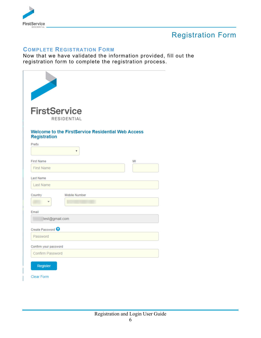

## Registration Form

#### **COMPLETE REGISTRATION FORM**

Now that we have validated the information provided, fill out the registration form to complete the registration process.

| <b>FirstService</b>                              | <b>RESIDENTIAL</b>                                             |    |
|--------------------------------------------------|----------------------------------------------------------------|----|
| <b>Registration</b><br>Prefix                    | <b>Welcome to the FirstService Residential Web Access</b><br>۷ |    |
| <b>First Name</b><br><b>First Name</b>           |                                                                | MI |
| Last Name<br><b>Last Name</b>                    |                                                                |    |
| Country                                          | <b>Mobile Number</b>                                           |    |
| Email<br>test@gmail.com                          |                                                                |    |
| Create Password <sup>9</sup><br>Password         |                                                                |    |
| Confirm your password<br><b>Confirm Password</b> |                                                                |    |
| Register<br><b>Clear Form</b>                    |                                                                |    |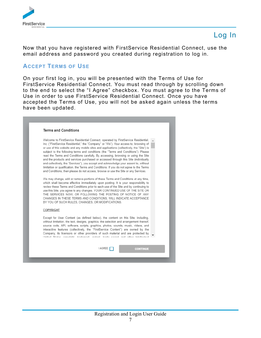

### Log In

Now that you have registered with FirstService Residential Connect, use the email address and password you created during registration to log in.

#### **ACCEPT TERMS OF USE**

On your first log in, you will be presented with the Terms of Use for FirstService Residential Connect. You must read through by scrolling down to the end to select the "I Agree" checkbox. You must agree to the Terms of Use in order to use FirstService Residential Connect. Once you have accepted the Terms of Use, you will not be asked again unless the terms have been updated.

| <b>Terms and Conditions</b>                      |                                                                                                                                                                                                                                                                                                                                                                                                                                                                                                                                                                                                                                                                                                                                                                                                                       |  |
|--------------------------------------------------|-----------------------------------------------------------------------------------------------------------------------------------------------------------------------------------------------------------------------------------------------------------------------------------------------------------------------------------------------------------------------------------------------------------------------------------------------------------------------------------------------------------------------------------------------------------------------------------------------------------------------------------------------------------------------------------------------------------------------------------------------------------------------------------------------------------------------|--|
|                                                  | Welcome to FirstService Residential Connect, operated by FirstService Residential,<br>Inc. ("FirstService Residential," the "Company" or "We"). Your access to, browsing of<br>or use of this website and any mobile sites and applications (collectively, the "Site") is<br>subject to the following terms and conditions (the "Terms and Conditions"). Please<br>read the Terms and Conditions carefully. By accessing, browsing or using the Site<br>and the products and services purchased or accessed through this Site (individually<br>and collectively, the "Services"), you accept and acknowledge your assent to, without<br>limitation or qualification, the Terms and Conditions. If you do not agree to the Terms<br>and Conditions, then please do not access, browse or use the Site or any Services. |  |
| BY YOU OF SUCH RULES, CHANGES, OR MODIFICATIONS. | We may change, add or remove portions of these Terms and Conditions at any time,<br>which shall become effective immediately upon posting. It is your responsibility to<br>review these Terms and Conditions prior to each use of the Site and by continuing to<br>use this Site, you agree to any changes. YOUR CONTINUED USE OF THE SITE OR<br>THE SERVICES NOW, OR FOLLOWING THE POSTING OF NOTICE OF ANY<br>CHANGES IN THESE TERMS AND CONDITIONS. WILL INDICATE ACCEPTANCE                                                                                                                                                                                                                                                                                                                                       |  |
| COPYRIGHT                                        |                                                                                                                                                                                                                                                                                                                                                                                                                                                                                                                                                                                                                                                                                                                                                                                                                       |  |
|                                                  | Except for User Content (as defined below), the content on this Site, including,<br>without limitation, the text, designs, graphics, the selection and arrangement thereof,<br>source code, API, software, scripts, graphics, photos, sounds, music, videos, and<br>interactive features (collectively, the "FirstService Content") are owned by the<br>Company, its licensors or other providers of such material and are protected by<br>I litted States conviciably trademark in the trade coeret and other intellectual                                                                                                                                                                                                                                                                                           |  |
|                                                  | I AGREE                                                                                                                                                                                                                                                                                                                                                                                                                                                                                                                                                                                                                                                                                                                                                                                                               |  |